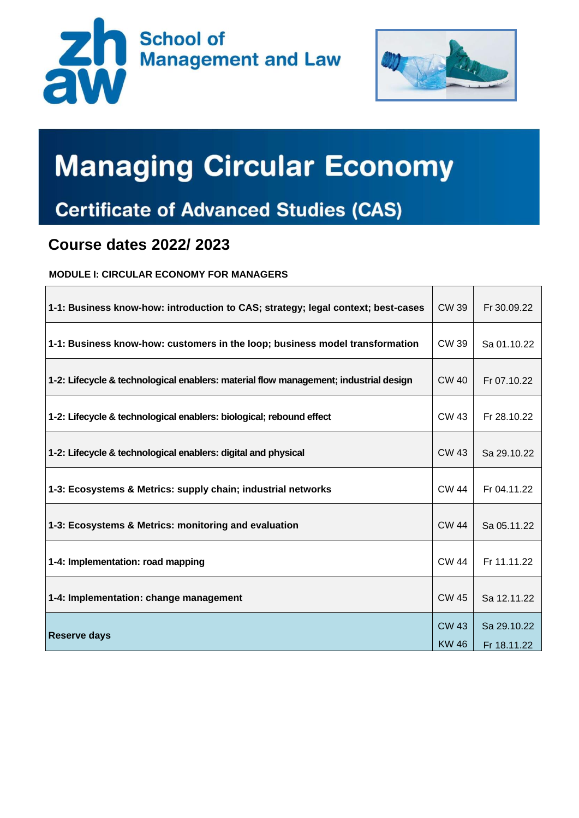



## **Managing Circular Economy**

## **Certificate of Advanced Studies (CAS)**

## **Course dates 2022/ 2023**

**MODULE I: CIRCULAR ECONOMY FOR MANAGERS**

| 1-1: Business know-how: introduction to CAS; strategy; legal context; best-cases     | CW 39          | Fr 30.09.22                |
|--------------------------------------------------------------------------------------|----------------|----------------------------|
| 1-1: Business know-how: customers in the loop; business model transformation         | <b>CW39</b>    | Sa 01.10.22                |
| 1-2: Lifecycle & technological enablers: material flow management; industrial design | CW 40          | Fr 07.10.22                |
| 1-2: Lifecycle & technological enablers: biological; rebound effect                  | <b>CW 43</b>   | Fr 28.10.22                |
| 1-2: Lifecycle & technological enablers: digital and physical                        | <b>CW 43</b>   | Sa 29.10.22                |
| 1-3: Ecosystems & Metrics: supply chain; industrial networks                         | CW 44          | Fr 04.11.22                |
| 1-3: Ecosystems & Metrics: monitoring and evaluation                                 | <b>CW 44</b>   | Sa 05.11.22                |
| 1-4: Implementation: road mapping                                                    | <b>CW 44</b>   | Fr 11.11.22                |
| 1-4: Implementation: change management                                               | <b>CW 45</b>   | Sa 12.11.22                |
| <b>Reserve days</b>                                                                  | CW 43<br>KW 46 | Sa 29.10.22<br>Fr 18.11.22 |